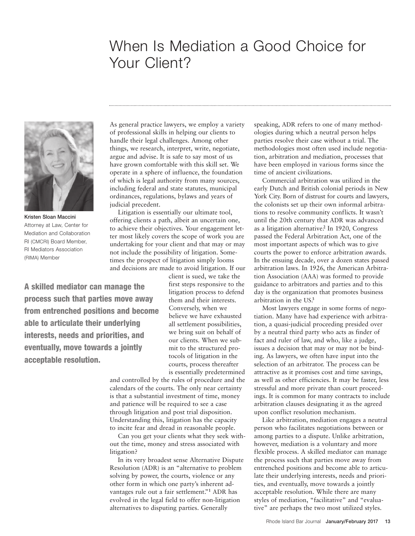## When Is Mediation a Good Choice for Your Client?



Kristen Sloan Maccini Attorney at Law, Center for Mediation and Collaboration RI (CMCRI) Board Member, RI Mediators Association (RIMA) Member

As general practice lawyers, we employ a variety of professional skills in helping our clients to handle their legal challenges. Among other things, we research, interpret, write, negotiate, argue and advise. It is safe to say most of us have grown comfortable with this skill set. We operate in a sphere of influence, the foundation of which is legal authority from many sources, including federal and state statutes, municipal ordinances, regulations, bylaws and years of judicial precedent.

Litigation is essentially our ultimate tool, offering clients a path, albeit an uncertain one, to achieve their objectives. Your engagement letter most likely covers the scope of work you are undertaking for your client and that may or may not include the possibility of litigation. Sometimes the prospect of litigation simply looms and decisions are made to avoid litigation. If our

A skilled mediator can manage the process such that parties move away from entrenched positions and become able to articulate their underlying interests, needs and priorities, and eventually, move towards a jointly acceptable resolution.

client is sued, we take the first steps responsive to the litigation process to defend them and their interests. Conversely, when we believe we have exhausted all settlement possibilities, we bring suit on behalf of our clients. When we submit to the structured protocols of litigation in the courts, process thereafter is essentially predetermined

and controlled by the rules of procedure and the calendars of the courts. The only near certainty is that a substantial investment of time, money and patience will be required to see a case through litigation and post trial disposition. Understanding this, litigation has the capacity to incite fear and dread in reasonable people.

Can you get your clients what they seek without the time, money and stress associated with litigation?

In its very broadest sense Alternative Dispute Resolution (ADR) is an "alternative to problem solving by power, the courts, violence or any other form in which one party's inherent advantages rule out a fair settlement."**<sup>1</sup>** ADR has evolved in the legal field to offer non-litigation alternatives to disputing parties. Generally

speaking, ADR refers to one of many methodologies during which a neutral person helps parties resolve their case without a trial. The methodologies most often used include negotiation, arbitration and mediation, processes that have been employed in various forms since the time of ancient civilizations.

Commercial arbitration was utilized in the early Dutch and British colonial periods in New York City. Born of distrust for courts and lawyers, the colonists set up their own informal arbitrations to resolve community conflicts. It wasn't until the 20th century that ADR was advanced as a litigation alternative. **<sup>2</sup>** In 1920, Congress passed the Federal Arbitration Act, one of the most important aspects of which was to give courts the power to enforce arbitration awards. In the ensuing decade, over a dozen states passed arbitration laws. In 1926, the American Arbitration Association (AAA) was formed to provide guidance to arbitrators and parties and to this day is the organization that promotes business arbitration in the US. **3**

Most lawyers engage in some forms of negotiation. Many have had experience with arbitration, a quasi-judicial proceeding presided over by a neutral third party who acts as finder of fact and ruler of law, and who, like a judge, issues a decision that may or may not be binding. As lawyers, we often have input into the selection of an arbitrator. The process can be attractive as it promises cost and time savings, as well as other efficiencies. It may be faster, less stressful and more private than court proceedings. It is common for many contracts to include arbitration clauses designating it as the agreed upon conflict resolution mechanism.

Like arbitration, mediation engages a neutral person who facilitates negotiations between or among parties to a dispute. Unlike arbitration, however, mediation is a voluntary and more flexible process. A skilled mediator can manage the process such that parties move away from entrenched positions and become able to articulate their underlying interests, needs and priorities, and eventually, move towards a jointly acceptable resolution. While there are many styles of mediation, "facilitative" and "evaluative" are perhaps the two most utilized styles.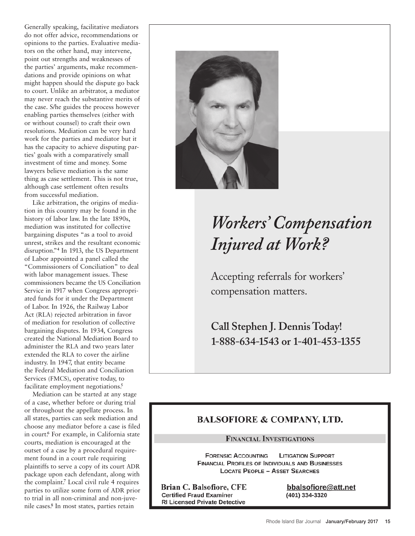Generally speaking, facilitative mediators do not offer advice, recommendations or opinions to the parties. Evaluative mediators on the other hand, may intervene, point out strengths and weaknesses of the parties' arguments, make recommendations and provide opinions on what might happen should the dispute go back to court. Unlike an arbitrator, a mediator may never reach the substantive merits of the case. S/he guides the process however enabling parties themselves (either with or without counsel) to craft their own resolutions. Mediation can be very hard work for the parties and mediator but it has the capacity to achieve disputing parties' goals with a comparatively small investment of time and money. Some lawyers believe mediation is the same thing as case settlement. This is not true, although case settlement often results from successful mediation.

Like arbitration, the origins of mediation in this country may be found in the history of labor law. In the late 1890s, mediation was instituted for collective bargaining disputes "as a tool to avoid unrest, strikes and the resultant economic disruption."**<sup>4</sup>** In 1913, the US Department of Labor appointed a panel called the "Commissioners of Conciliation" to deal with labor management issues. These commissioners became the US Conciliation Service in 1917 when Congress appropriated funds for it under the Department of Labor. In 1926, the Railway Labor Act (RLA) rejected arbitration in favor of mediation for resolution of collective bargaining disputes. In 1934, Congress created the National Mediation Board to administer the RLA and two years later extended the RLA to cover the airline industry. In 1947, that entity became the Federal Mediation and Conciliation Services (FMCS), operative today, to facilitate employment negotiations. **5**

Mediation can be started at any stage of a case, whether before or during trial or throughout the appellate process. In all states, parties can seek mediation and choose any mediator before a case is filed in court. **<sup>6</sup>** For example, in California state courts, mediation is encouraged at the outset of a case by a procedural requirement found in a court rule requiring plaintiffs to serve a copy of its court ADR package upon each defendant, along with the complaint. **<sup>7</sup>** Local civil rule 4 requires parties to utilize some form of ADR prior to trial in all non-criminal and non-juvenile cases. **<sup>8</sup>** In most states, parties retain



# *Workers ' Compensation Injured at Work?*

Accepting referrals for workers' compensation matters.

**Call Stephen J. Dennis Today! 1-888-634-1543 or 1-401-453-1355**

### **BALSOFIORE & COMPANY, LTD.**

#### **FINANCIAL INVESTIGATIONS**

**FORENSIC ACCOUNTING LITIGATION SUPPORT FINANCIAL PROFILES OF INDIVIDUALS AND BUSINESSES LOCATE PEOPLE - ASSET SEARCHES** 

**Brian C. Balsofiore, CFE Certified Fraud Examiner RI Licensed Private Detective** 

bbalsofiore@att.net (401) 334-3320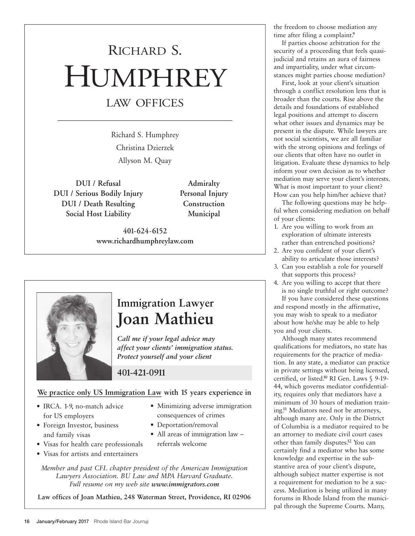# RICHARD S. HUMPHREY LAW OFFICES

Richard S. Humphrey Christina Dzierzek Allyson M. Quay

**DUI / Refusal Admiralty DUI / Serious Bodily Injury Personal Injury DUI / Death Resulting Construction Social Host Liability Municipal**

**401-624-6152 www.richardhumphreylaw.com**



## **Immigration Lawyer Joan Mathieu**

*Call me if your legal advice may affect your clients' immigration status. Protect yourself and your client*

### **401-421-0911**

#### **We practice only US Immigration Law with 15 years experience in**

- IRCA. 1-9, no-match advice for US employers
- Foreign Investor, business and family visas
- Minimizing adverse immigration consequences of crimes
- Deportation/removal
- All areas of immigration law referrals welcome
- Visas for health care professionals • Visas for artists and entertainers

*Member and past CFL chapter president of the American Immigration Lawyers Association. BU Law and MPA Harvard Graduate. Full resume on my web site www.immigrators.com*

**Law offices of Joan Mathieu, 248 Waterman Street, Providence, RI 02906**

the freedom to choose mediation any time after filing a complaint. **9**

If parties choose arbitration for the security of a proceeding that feels quasijudicial and retains an aura of fairness and impartiality, under what circumstances might parties choose mediation?

First, look at your client's situation through a conflict resolution lens that is broader than the courts. Rise above the details and foundations of established legal positions and attempt to discern what other issues and dynamics may be present in the dispute. While lawyers are not social scientists, we are all familiar with the strong opinions and feelings of our clients that often have no outlet in litigation. Evaluate these dynamics to help inform your own decision as to whether mediation may serve your client's interests. What is most important to your client? How can you help him/her achieve that?

The following questions may be helpful when considering mediation on behalf of your clients:

- 1. Are you willing to work from an exploration of ultimate interests rather than entrenched positions?
- 2. Are you confident of your client's ability to articulate those interests?
- 3. Can you establish a role for yourself that supports this process?
- 4. Are you willing to accept that there is no single truthful or right outcome? If you have considered these questions and respond mostly in the affirmative, you may wish to speak to a mediator about how he/she may be able to help you and your clients.

Although many states recommend qualifications for mediators, no state has requirements for the practice of mediation. In any state, a mediator can practice in private settings without being licensed, certified, or listed. **<sup>10</sup>** RI Gen. Laws § 9-19- 44, which governs mediator confidentiality, requires only that mediators have a minimum of 30 hours of mediation training. **<sup>11</sup>** Mediators need not be attorneys, although many are. Only in the District of Columbia is a mediator required to be an attorney to mediate civil court cases other than family disputes. **<sup>12</sup>** You can certainly find a mediator who has some knowledge and expertise in the substantive area of your client's dispute, although subject matter expertise is not a requirement for mediation to be a success. Mediation is being utilized in many forums in Rhode Island from the municipal through the Supreme Courts. Many,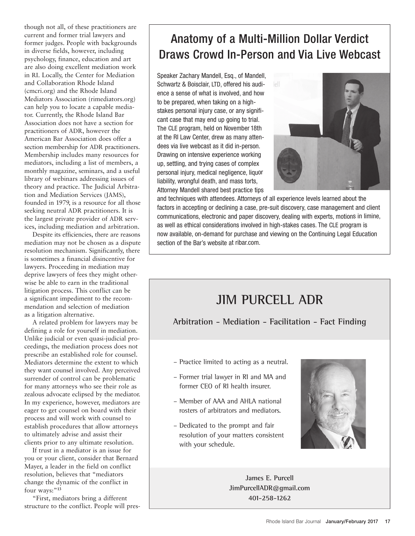though not all, of these practitioners are current and former trial lawyers and former judges. People with backgrounds in diverse fields, however, including psychology, finance, education and art are also doing excellent mediation work in RI. Locally, the Center for Mediation and Collaboration Rhode Island (cmcri.org) and the Rhode Island Mediators Association (rimediators.org) can help you to locate a capable mediator. Currently, the Rhode Island Bar Association does not have a section for practitioners of ADR, however the American Bar Association does offer a section membership for ADR practitioners. Membership includes many resources for mediators, including a list of members, a monthly magazine, seminars, and a useful library of webinars addressing issues of theory and practice. The Judicial Arbitration and Mediation Services (JAMS), founded in 1979, is a resource for all those seeking neutral ADR practitioners. It is the largest private provider of ADR services, including mediation and arbitration.

Despite its efficiencies, there are reasons mediation may not be chosen as a dispute resolution mechanism. Significantly, there is sometimes a financial disincentive for lawyers. Proceeding in mediation may deprive lawyers of fees they might otherwise be able to earn in the traditional litigation process. This conflict can be a significant impediment to the recommendation and selection of mediation as a litigation alternative.

A related problem for lawyers may be defining a role for yourself in mediation. Unlike judicial or even quasi-judicial proceedings, the mediation process does not prescribe an established role for counsel. Mediators determine the extent to which they want counsel involved. Any perceived surrender of control can be problematic for many attorneys who see their role as zealous advocate eclipsed by the mediator. In my experience, however, mediators are eager to get counsel on board with their process and will work with counsel to establish procedures that allow attorneys to ultimately advise and assist their clients prior to any ultimate resolution.

If trust in a mediator is an issue for you or your client, consider that Bernard Mayer, a leader in the field on conflict resolution, believes that "mediators change the dynamic of the conflict in four ways:"**<sup>13</sup>**

"First, mediators bring a different structure to the conflict. People will pres-

## Anatomy of a Multi-Million Dollar Verdict Draws Crowd In-Person and Via Live Webcast

Speaker Zachary Mandell, Esq., of Mandell, Schwartz & Boisclair, LTD, offered his audience <sup>a</sup> sense of what is involved, and how to be prepared, when taking on <sup>a</sup> highstakes personal injury case, or any significant case that may end up going to trial. The CLE program, held on November 18th at the RI Law Center, drew as many attendees via live webcast as it did in-person. Drawing on intensive experience working up, settling, and trying cases of complex personal injury, medical negligence, liquor liability, wrongful death, and mass torts, Attorney Mandell shared best practice tips



and techniques with attendees. Attorneys of all experience levels learned about the factors in accepting or declining <sup>a</sup> case, pre-suit discovery, case management and client communications, electronic and paper discovery, dealing with experts, motions in limine, as well as ethical considerations involved in high-stakes cases. The CLE program is now available, on-demand for purchase and viewing on the Continuing Legal Education section of the Bar's website at ribar.com.

## **JIM PURCELL ADR**

**Arbitration - Mediation - Facilitation - Fact Finding**

- Practice limited to acting as a neutral.
- Former trial lawyer in RI and MA and former CEO of RI health insurer.
- Member of AAA and AHLA national rosters of arbitrators and mediators.
- Dedicated to the prompt and fair resolution of your matters consistent with your schedule.



**James E. Purcell JimPurcellADR@gmail.com 401-258-1262**